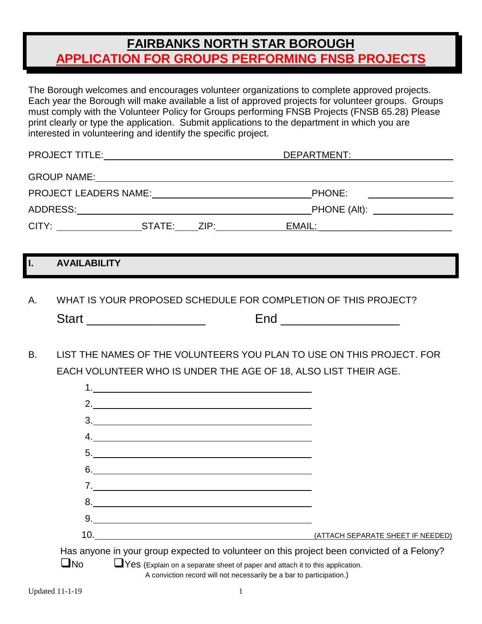## **FAIRBANKS NORTH STAR BOROUGH APPLICATION FOR GROUPS PERFORMING FNSB PROJECTS**

The Borough welcomes and encourages volunteer organizations to complete approved projects. Each year the Borough will make available a list of approved projects for volunteer groups. Groups must comply with the Volunteer Policy for Groups performing FNSB Projects (FNSB 65.28) Please print clearly or type the application. Submit applications to the department in which you are interested in volunteering and identify the specific project.

| <b>PROJECT TITLE:</b>                                                                                                                                                                                                          |             | DEPARTMENT:                     |  |
|--------------------------------------------------------------------------------------------------------------------------------------------------------------------------------------------------------------------------------|-------------|---------------------------------|--|
| GROUP NAME: The contract of the contract of the contract of the contract of the contract of the contract of the contract of the contract of the contract of the contract of the contract of the contract of the contract of th |             |                                 |  |
| <b>PROJECT LEADERS NAME:</b>                                                                                                                                                                                                   |             | PHONE:                          |  |
| ADDRESS:                                                                                                                                                                                                                       |             | _PHONE (Alt): _________________ |  |
| CITY:                                                                                                                                                                                                                          | STATE: ZIP: | EMAIL:                          |  |

## **I. AVAILABILITY**

- A. WHAT IS YOUR PROPOSED SCHEDULE FOR COMPLETION OF THIS PROJECT? Start \_\_\_\_\_\_\_\_\_\_\_\_\_\_\_\_\_ End \_\_\_\_\_\_\_\_\_\_\_\_\_\_\_\_\_
- B. LIST THE NAMES OF THE VOLUNTEERS YOU PLAN TO USE ON THIS PROJECT. FOR EACH VOLUNTEER WHO IS UNDER THE AGE OF 18, ALSO LIST THEIR AGE.

|                                                                                                                                                                              | 2. $\qquad \qquad$                                                                                                                                                                                                                                                                                                     |                                   |  |  |  |
|------------------------------------------------------------------------------------------------------------------------------------------------------------------------------|------------------------------------------------------------------------------------------------------------------------------------------------------------------------------------------------------------------------------------------------------------------------------------------------------------------------|-----------------------------------|--|--|--|
|                                                                                                                                                                              | $3.$ $\qquad \qquad$                                                                                                                                                                                                                                                                                                   |                                   |  |  |  |
|                                                                                                                                                                              | 4. $\qquad \qquad$                                                                                                                                                                                                                                                                                                     |                                   |  |  |  |
|                                                                                                                                                                              | 5.                                                                                                                                                                                                                                                                                                                     |                                   |  |  |  |
|                                                                                                                                                                              | 6.                                                                                                                                                                                                                                                                                                                     |                                   |  |  |  |
|                                                                                                                                                                              | $7.$ $\frac{1}{2}$ $\frac{1}{2}$ $\frac{1}{2}$ $\frac{1}{2}$ $\frac{1}{2}$ $\frac{1}{2}$ $\frac{1}{2}$ $\frac{1}{2}$ $\frac{1}{2}$ $\frac{1}{2}$ $\frac{1}{2}$ $\frac{1}{2}$ $\frac{1}{2}$ $\frac{1}{2}$ $\frac{1}{2}$ $\frac{1}{2}$ $\frac{1}{2}$ $\frac{1}{2}$ $\frac{1}{2}$ $\frac{1}{2}$ $\frac{1}{2}$ $\frac{1}{$ |                                   |  |  |  |
|                                                                                                                                                                              | 8.                                                                                                                                                                                                                                                                                                                     |                                   |  |  |  |
|                                                                                                                                                                              |                                                                                                                                                                                                                                                                                                                        |                                   |  |  |  |
|                                                                                                                                                                              | 10.                                                                                                                                                                                                                                                                                                                    | (ATTACH SEPARATE SHEET IF NEEDED) |  |  |  |
| Has anyone in your group expected to volunteer on this project been convicted of a Felony?                                                                                   |                                                                                                                                                                                                                                                                                                                        |                                   |  |  |  |
| $\square$ No<br><b>TYES</b> (Explain on a separate sheet of paper and attach it to this application.<br>A conviction record will not necessarily be a bar to participation.) |                                                                                                                                                                                                                                                                                                                        |                                   |  |  |  |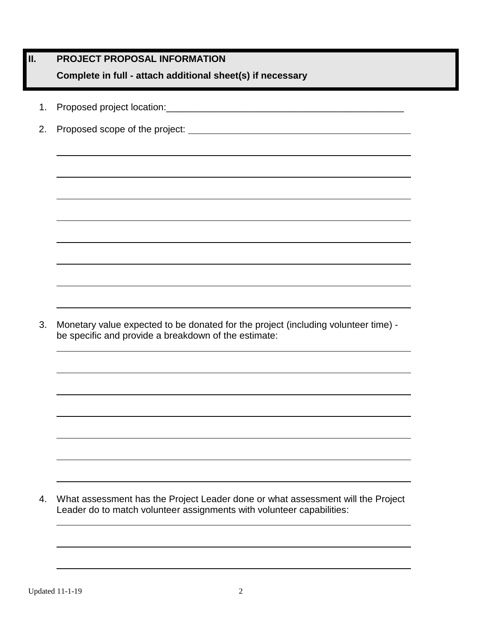|    | PROJECT PROPOSAL INFORMATION                                                                                                               |  |  |
|----|--------------------------------------------------------------------------------------------------------------------------------------------|--|--|
|    | Complete in full - attach additional sheet(s) if necessary                                                                                 |  |  |
| 1. |                                                                                                                                            |  |  |
| 2. |                                                                                                                                            |  |  |
|    |                                                                                                                                            |  |  |
|    |                                                                                                                                            |  |  |
|    | ,我们也不会有什么。""我们的人,我们也不会有什么?""我们的人,我们也不会有什么?""我们的人,我们也不会有什么?""我们的人,我们也不会有什么?""我们的人                                                           |  |  |
|    |                                                                                                                                            |  |  |
|    |                                                                                                                                            |  |  |
|    |                                                                                                                                            |  |  |
|    |                                                                                                                                            |  |  |
|    |                                                                                                                                            |  |  |
|    |                                                                                                                                            |  |  |
| 3. | Monetary value expected to be donated for the project (including volunteer time) -<br>be specific and provide a breakdown of the estimate: |  |  |
|    |                                                                                                                                            |  |  |
|    |                                                                                                                                            |  |  |

4. What assessment has the Project Leader done or what assessment will the Project Leader do to match volunteer assignments with volunteer capabilities: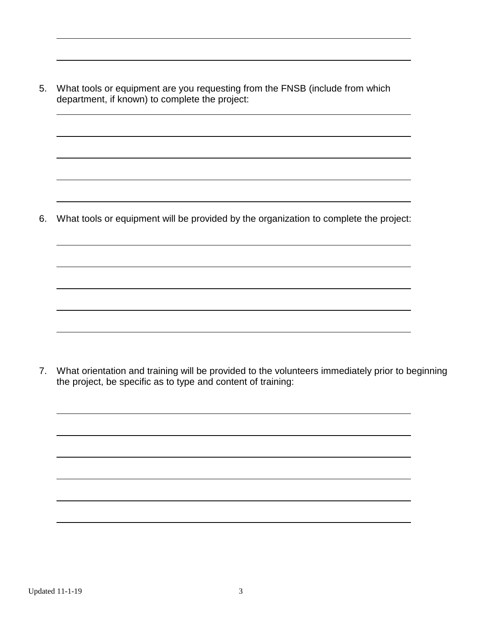5. What tools or equipment are you requesting from the FNSB (include from which department, if known) to complete the project:

6. What tools or equipment will be provided by the organization to complete the project:

7. What orientation and training will be provided to the volunteers immediately prior to beginning the project, be specific as to type and content of training: